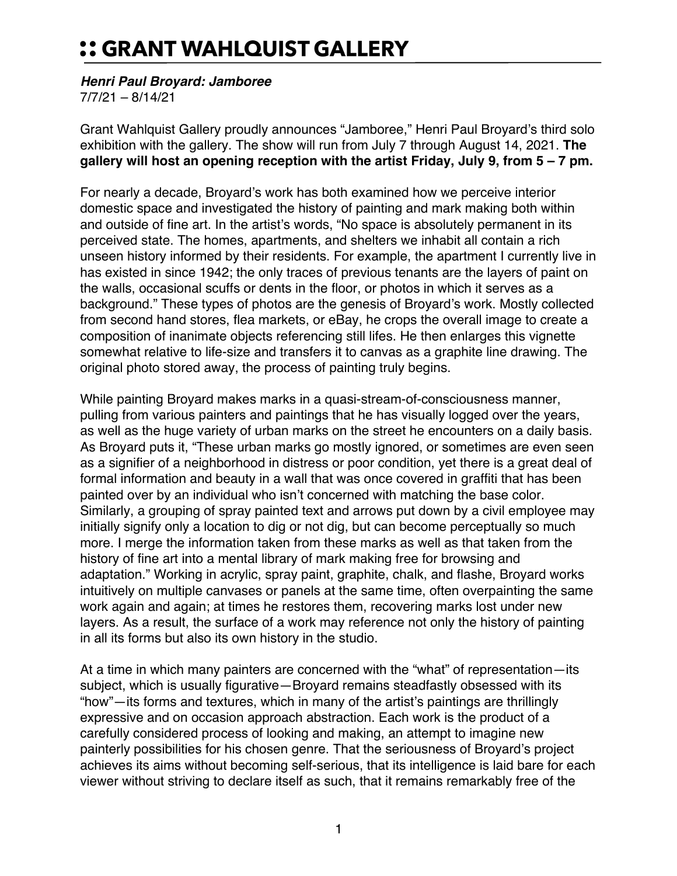## :: GRANT WAHLQUIST GALLERY

## *Henri Paul Broyard: Jamboree*

7/7/21 – 8/14/21

Grant Wahlquist Gallery proudly announces "Jamboree," Henri Paul Broyard's third solo exhibition with the gallery. The show will run from July 7 through August 14, 2021. **The gallery will host an opening reception with the artist Friday, July 9, from 5 – 7 pm.**

For nearly a decade, Broyard's work has both examined how we perceive interior domestic space and investigated the history of painting and mark making both within and outside of fine art. In the artist's words, "No space is absolutely permanent in its perceived state. The homes, apartments, and shelters we inhabit all contain a rich unseen history informed by their residents. For example, the apartment I currently live in has existed in since 1942; the only traces of previous tenants are the layers of paint on the walls, occasional scuffs or dents in the floor, or photos in which it serves as a background." These types of photos are the genesis of Broyard's work. Mostly collected from second hand stores, flea markets, or eBay, he crops the overall image to create a composition of inanimate objects referencing still lifes. He then enlarges this vignette somewhat relative to life-size and transfers it to canvas as a graphite line drawing. The original photo stored away, the process of painting truly begins.

While painting Broyard makes marks in a quasi-stream-of-consciousness manner, pulling from various painters and paintings that he has visually logged over the years, as well as the huge variety of urban marks on the street he encounters on a daily basis. As Broyard puts it, "These urban marks go mostly ignored, or sometimes are even seen as a signifier of a neighborhood in distress or poor condition, yet there is a great deal of formal information and beauty in a wall that was once covered in graffiti that has been painted over by an individual who isn't concerned with matching the base color. Similarly, a grouping of spray painted text and arrows put down by a civil employee may initially signify only a location to dig or not dig, but can become perceptually so much more. I merge the information taken from these marks as well as that taken from the history of fine art into a mental library of mark making free for browsing and adaptation." Working in acrylic, spray paint, graphite, chalk, and flashe, Broyard works intuitively on multiple canvases or panels at the same time, often overpainting the same work again and again; at times he restores them, recovering marks lost under new layers. As a result, the surface of a work may reference not only the history of painting in all its forms but also its own history in the studio.

At a time in which many painters are concerned with the "what" of representation—its subject, which is usually figurative—Broyard remains steadfastly obsessed with its "how"—its forms and textures, which in many of the artist's paintings are thrillingly expressive and on occasion approach abstraction. Each work is the product of a carefully considered process of looking and making, an attempt to imagine new painterly possibilities for his chosen genre. That the seriousness of Broyard's project achieves its aims without becoming self-serious, that its intelligence is laid bare for each viewer without striving to declare itself as such, that it remains remarkably free of the